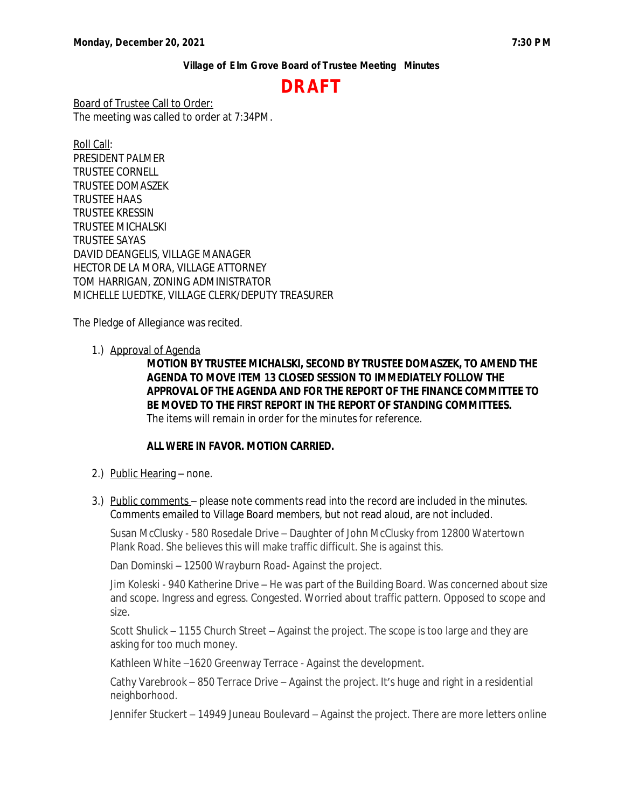# **DRAFT**

Board of Trustee Call to Order: The meeting was called to order at 7:34PM.

Roll Call: PRESIDENT PALMER TRUSTEE CORNELL TRUSTEE DOMASZEK TRUSTEE HAAS TRUSTEE KRESSIN TRUSTEE MICHALSKI TRUSTEE SAYAS DAVID DEANGELIS, VILLAGE MANAGER HECTOR DE LA MORA, VILLAGE ATTORNEY TOM HARRIGAN, ZONING ADMINISTRATOR MICHELLE LUEDTKE, VILLAGE CLERK/DEPUTY TREASURER

The Pledge of Allegiance was recited.

1.) Approval of Agenda

**MOTION BY TRUSTEE MICHALSKI, SECOND BY TRUSTEE DOMASZEK, TO AMEND THE AGENDA TO MOVE ITEM 13 CLOSED SESSION TO IMMEDIATELY FOLLOW THE APPROVAL OF THE AGENDA AND FOR THE REPORT OF THE FINANCE COMMITTEE TO BE MOVED TO THE FIRST REPORT IN THE REPORT OF STANDING COMMITTEES.** The items will remain in order for the minutes for reference.

### **ALL WERE IN FAVOR. MOTION CARRIED.**

- 2.) Public Hearing none.
- 3.) Public comments please note comments read into the record are included in the minutes. Comments emailed to Village Board members, but not read aloud, are not included.

Susan McClusky - 580 Rosedale Drive – Daughter of John McClusky from 12800 Watertown Plank Road. She believes this will make traffic difficult. She is against this.

Dan Dominski – 12500 Wrayburn Road- Against the project.

Jim Koleski - 940 Katherine Drive – He was part of the Building Board. Was concerned about size and scope. Ingress and egress. Congested. Worried about traffic pattern. Opposed to scope and size.

Scott Shulick – 1155 Church Street – Against the project. The scope is too large and they are asking for too much money.

Kathleen White –1620 Greenway Terrace - Against the development.

Cathy Varebrook – 850 Terrace Drive – Against the project. It's huge and right in a residential neighborhood.

Jennifer Stuckert – 14949 Juneau Boulevard – Against the project. There are more letters online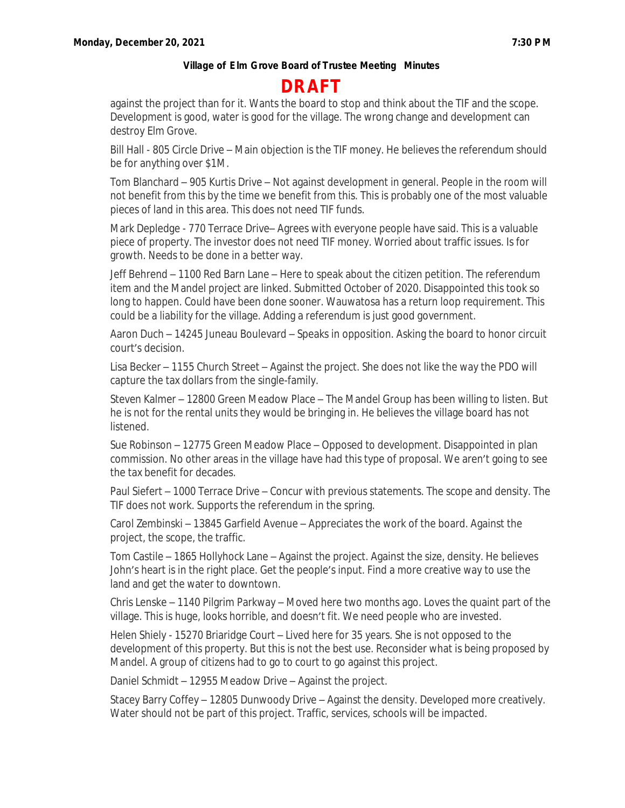# **DRAFT**

against the project than for it. Wants the board to stop and think about the TIF and the scope. Development is good, water is good for the village. The wrong change and development can destroy Elm Grove.

Bill Hall - 805 Circle Drive – Main objection is the TIF money. He believes the referendum should be for anything over \$1M.

Tom Blanchard – 905 Kurtis Drive – Not against development in general. People in the room will not benefit from this by the time we benefit from this. This is probably one of the most valuable pieces of land in this area. This does not need TIF funds.

Mark Depledge - 770 Terrace Drive– Agrees with everyone people have said. This is a valuable piece of property. The investor does not need TIF money. Worried about traffic issues. Is for growth. Needs to be done in a better way.

Jeff Behrend – 1100 Red Barn Lane – Here to speak about the citizen petition. The referendum item and the Mandel project are linked. Submitted October of 2020. Disappointed this took so long to happen. Could have been done sooner. Wauwatosa has a return loop requirement. This could be a liability for the village. Adding a referendum is just good government.

Aaron Duch – 14245 Juneau Boulevard – Speaks in opposition. Asking the board to honor circuit court's decision.

Lisa Becker – 1155 Church Street – Against the project. She does not like the way the PDO will capture the tax dollars from the single-family.

Steven Kalmer – 12800 Green Meadow Place – The Mandel Group has been willing to listen. But he is not for the rental units they would be bringing in. He believes the village board has not listened.

Sue Robinson – 12775 Green Meadow Place – Opposed to development. Disappointed in plan commission. No other areas in the village have had this type of proposal. We aren't going to see the tax benefit for decades.

Paul Siefert – 1000 Terrace Drive – Concur with previous statements. The scope and density. The TIF does not work. Supports the referendum in the spring.

Carol Zembinski – 13845 Garfield Avenue – Appreciates the work of the board. Against the project, the scope, the traffic.

Tom Castile – 1865 Hollyhock Lane – Against the project. Against the size, density. He believes John's heart is in the right place. Get the people's input. Find a more creative way to use the land and get the water to downtown.

Chris Lenske – 1140 Pilgrim Parkway – Moved here two months ago. Loves the quaint part of the village. This is huge, looks horrible, and doesn't fit. We need people who are invested.

Helen Shiely - 15270 Briaridge Court – Lived here for 35 years. She is not opposed to the development of this property. But this is not the best use. Reconsider what is being proposed by Mandel. A group of citizens had to go to court to go against this project.

Daniel Schmidt – 12955 Meadow Drive – Against the project.

Stacey Barry Coffey – 12805 Dunwoody Drive – Against the density. Developed more creatively. Water should not be part of this project. Traffic, services, schools will be impacted.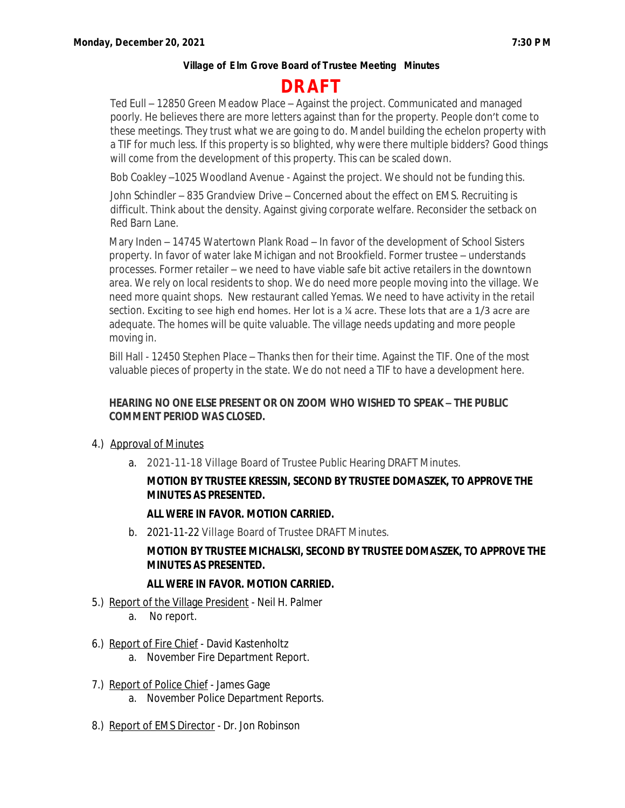# **DRAFT**

Ted Eull – 12850 Green Meadow Place – Against the project. Communicated and managed poorly. He believes there are more letters against than for the property. People don't come to these meetings. They trust what we are going to do. Mandel building the echelon property with a TIF for much less. If this property is so blighted, why were there multiple bidders? Good things will come from the development of this property. This can be scaled down.

Bob Coakley –1025 Woodland Avenue - Against the project. We should not be funding this.

John Schindler – 835 Grandview Drive – Concerned about the effect on EMS. Recruiting is difficult. Think about the density. Against giving corporate welfare. Reconsider the setback on Red Barn Lane.

Mary Inden – 14745 Watertown Plank Road – In favor of the development of School Sisters property. In favor of water lake Michigan and not Brookfield. Former trustee – understands processes. Former retailer – we need to have viable safe bit active retailers in the downtown area. We rely on local residents to shop. We do need more people moving into the village. We need more quaint shops. New restaurant called Yemas. We need to have activity in the retail section. Exciting to see high end homes. Her lot is a ¼ acre. These lots that are a 1/3 acre are adequate. The homes will be quite valuable. The village needs updating and more people moving in.

Bill Hall - 12450 Stephen Place – Thanks then for their time. Against the TIF. One of the most valuable pieces of property in the state. We do not need a TIF to have a development here.

### **HEARING NO ONE ELSE PRESENT OR ON ZOOM WHO WISHED TO SPEAK – THE PUBLIC COMMENT PERIOD WAS CLOSED.**

- 4.) Approval of Minutes
	- a. 2021-11-18 Village Board of Trustee Public Hearing DRAFT Minutes.

# **MOTION BY TRUSTEE KRESSIN, SECOND BY TRUSTEE DOMASZEK, TO APPROVE THE MINUTES AS PRESENTED.**

# **ALL WERE IN FAVOR. MOTION CARRIED.**

b. 2021-11-22 Village Board of Trustee DRAFT Minutes.

# **MOTION BY TRUSTEE MICHALSKI, SECOND BY TRUSTEE DOMASZEK, TO APPROVE THE MINUTES AS PRESENTED.**

# **ALL WERE IN FAVOR. MOTION CARRIED.**

- 5.) Report of the Village President Neil H. Palmer
	- a. No report.
- 6.) Report of Fire Chief David Kastenholtz
	- a. November Fire Department Report.
- 7.) Report of Police Chief James Gage
	- a. November Police Department Reports.
- 8.) Report of EMS Director Dr. Jon Robinson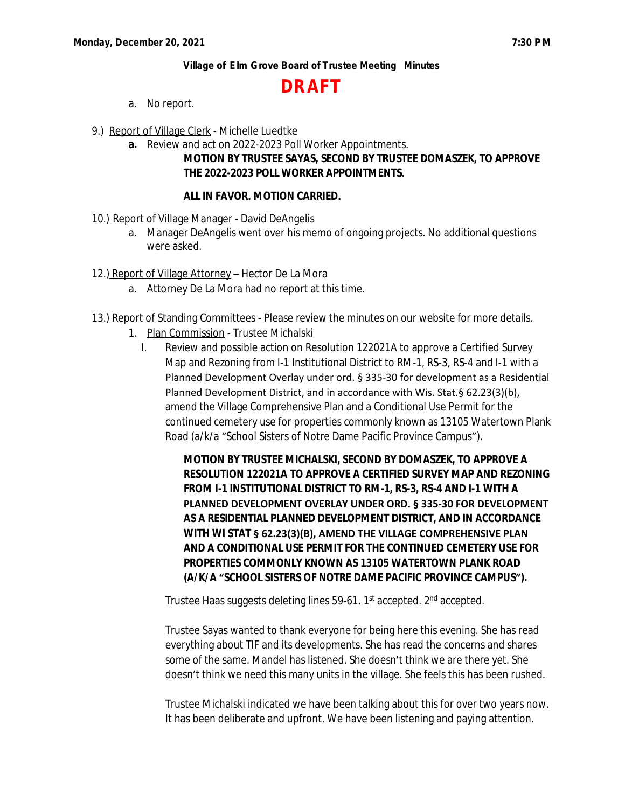# **DRAFT**

- a. No report.
- 9.) Report of Village Clerk Michelle Luedtke
	- **a.** Review and act on 2022-2023 Poll Worker Appointments.

# **MOTION BY TRUSTEE SAYAS, SECOND BY TRUSTEE DOMASZEK, TO APPROVE THE 2022-2023 POLL WORKER APPOINTMENTS.**

### **ALL IN FAVOR. MOTION CARRIED.**

- 10.) Report of Village Manager David DeAngelis
	- a. Manager DeAngelis went over his memo of ongoing projects. No additional questions were asked.
- 12.) Report of Village Attorney Hector De La Mora
	- a. Attorney De La Mora had no report at this time.
- 13.) Report of Standing Committees Please review the minutes on our website for more details.
	- 1. Plan Commission Trustee Michalski
		- I. Review and possible action on Resolution 122021A to approve a Certified Survey Map and Rezoning from I-1 Institutional District to RM-1, RS-3, RS-4 and I-1 with a Planned Development Overlay under ord. § 335-30 for development as a Residential Planned Development District, and in accordance with Wis. Stat.§ 62.23(3)(b), amend the Village Comprehensive Plan and a Conditional Use Permit for the continued cemetery use for properties commonly known as 13105 Watertown Plank Road (a/k/a "School Sisters of Notre Dame Pacific Province Campus").

**MOTION BY TRUSTEE MICHALSKI, SECOND BY DOMASZEK, TO APPROVE A RESOLUTION 122021A TO APPROVE A CERTIFIED SURVEY MAP AND REZONING FROM I-1 INSTITUTIONAL DISTRICT TO RM-1, RS-3, RS-4 AND I-1 WITH A PLANNED DEVELOPMENT OVERLAY UNDER ORD. § 335-30 FOR DEVELOPMENT AS A RESIDENTIAL PLANNED DEVELOPMENT DISTRICT, AND IN ACCORDANCE WITH WI STAT § 62.23(3)(B), AMEND THE VILLAGE COMPREHENSIVE PLAN AND A CONDITIONAL USE PERMIT FOR THE CONTINUED CEMETERY USE FOR PROPERTIES COMMONLY KNOWN AS 13105 WATERTOWN PLANK ROAD (A/K/A "SCHOOL SISTERS OF NOTRE DAME PACIFIC PROVINCE CAMPUS").**

Trustee Haas suggests deleting lines 59-61. 1st accepted. 2nd accepted.

Trustee Sayas wanted to thank everyone for being here this evening. She has read everything about TIF and its developments. She has read the concerns and shares some of the same. Mandel has listened. She doesn't think we are there yet. She doesn't think we need this many units in the village. She feels this has been rushed.

Trustee Michalski indicated we have been talking about this for over two years now. It has been deliberate and upfront. We have been listening and paying attention.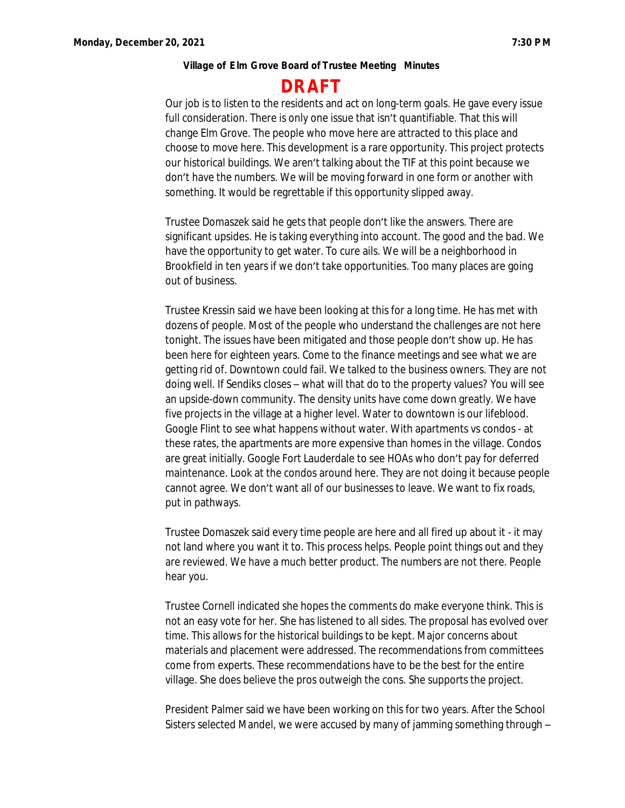# **DRAFT**

Our job is to listen to the residents and act on long-term goals. He gave every issue full consideration. There is only one issue that isn't quantifiable. That this will change Elm Grove. The people who move here are attracted to this place and choose to move here. This development is a rare opportunity. This project protects our historical buildings. We aren't talking about the TIF at this point because we don't have the numbers. We will be moving forward in one form or another with something. It would be regrettable if this opportunity slipped away.

Trustee Domaszek said he gets that people don't like the answers. There are significant upsides. He is taking everything into account. The good and the bad. We have the opportunity to get water. To cure ails. We will be a neighborhood in Brookfield in ten years if we don't take opportunities. Too many places are going out of business.

Trustee Kressin said we have been looking at this for a long time. He has met with dozens of people. Most of the people who understand the challenges are not here tonight. The issues have been mitigated and those people don't show up. He has been here for eighteen years. Come to the finance meetings and see what we are getting rid of. Downtown could fail. We talked to the business owners. They are not doing well. If Sendiks closes – what will that do to the property values? You will see an upside-down community. The density units have come down greatly. We have five projects in the village at a higher level. Water to downtown is our lifeblood. Google Flint to see what happens without water. With apartments vs condos - at these rates, the apartments are more expensive than homes in the village. Condos are great initially. Google Fort Lauderdale to see HOAs who don't pay for deferred maintenance. Look at the condos around here. They are not doing it because people cannot agree. We don't want all of our businesses to leave. We want to fix roads, put in pathways.

Trustee Domaszek said every time people are here and all fired up about it - it may not land where you want it to. This process helps. People point things out and they are reviewed. We have a much better product. The numbers are not there. People hear you.

Trustee Cornell indicated she hopes the comments do make everyone think. This is not an easy vote for her. She has listened to all sides. The proposal has evolved over time. This allows for the historical buildings to be kept. Major concerns about materials and placement were addressed. The recommendations from committees come from experts. These recommendations have to be the best for the entire village. She does believe the pros outweigh the cons. She supports the project.

President Palmer said we have been working on this for two years. After the School Sisters selected Mandel, we were accused by many of jamming something through –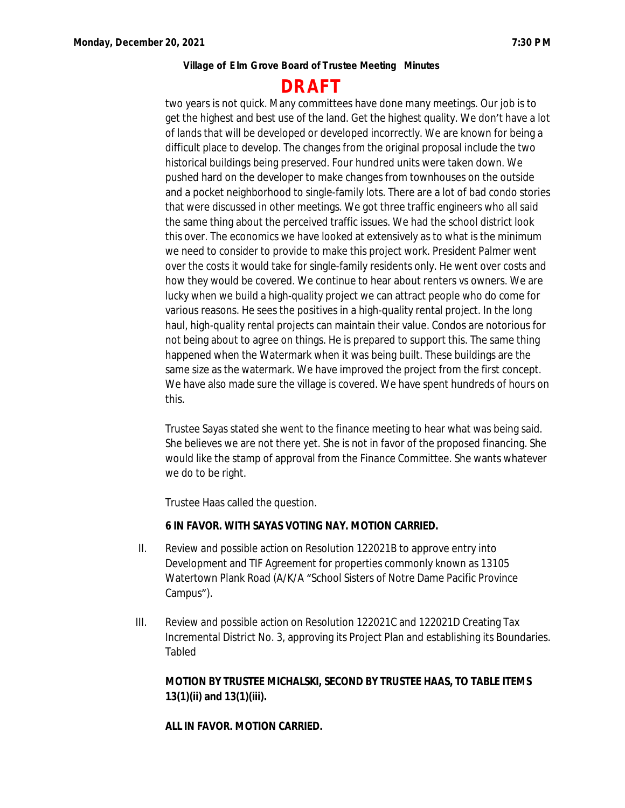# **DRAFT**

two years is not quick. Many committees have done many meetings. Our job is to get the highest and best use of the land. Get the highest quality. We don't have a lot of lands that will be developed or developed incorrectly. We are known for being a difficult place to develop. The changes from the original proposal include the two historical buildings being preserved. Four hundred units were taken down. We pushed hard on the developer to make changes from townhouses on the outside and a pocket neighborhood to single-family lots. There are a lot of bad condo stories that were discussed in other meetings. We got three traffic engineers who all said the same thing about the perceived traffic issues. We had the school district look this over. The economics we have looked at extensively as to what is the minimum we need to consider to provide to make this project work. President Palmer went over the costs it would take for single-family residents only. He went over costs and how they would be covered. We continue to hear about renters vs owners. We are lucky when we build a high-quality project we can attract people who do come for various reasons. He sees the positives in a high-quality rental project. In the long haul, high-quality rental projects can maintain their value. Condos are notorious for not being about to agree on things. He is prepared to support this. The same thing happened when the Watermark when it was being built. These buildings are the same size as the watermark. We have improved the project from the first concept. We have also made sure the village is covered. We have spent hundreds of hours on this.

Trustee Sayas stated she went to the finance meeting to hear what was being said. She believes we are not there yet. She is not in favor of the proposed financing. She would like the stamp of approval from the Finance Committee. She wants whatever we do to be right.

Trustee Haas called the question.

### **6 IN FAVOR. WITH SAYAS VOTING NAY. MOTION CARRIED.**

- II. Review and possible action on Resolution 122021B to approve entry into Development and TIF Agreement for properties commonly known as 13105 Watertown Plank Road (A/K/A "School Sisters of Notre Dame Pacific Province Campus").
- III. Review and possible action on Resolution 122021C and 122021D Creating Tax Incremental District No. 3, approving its Project Plan and establishing its Boundaries. Tabled

### **MOTION BY TRUSTEE MICHALSKI, SECOND BY TRUSTEE HAAS, TO TABLE ITEMS 13(1)(ii) and 13(1)(iii).**

**ALL IN FAVOR. MOTION CARRIED.**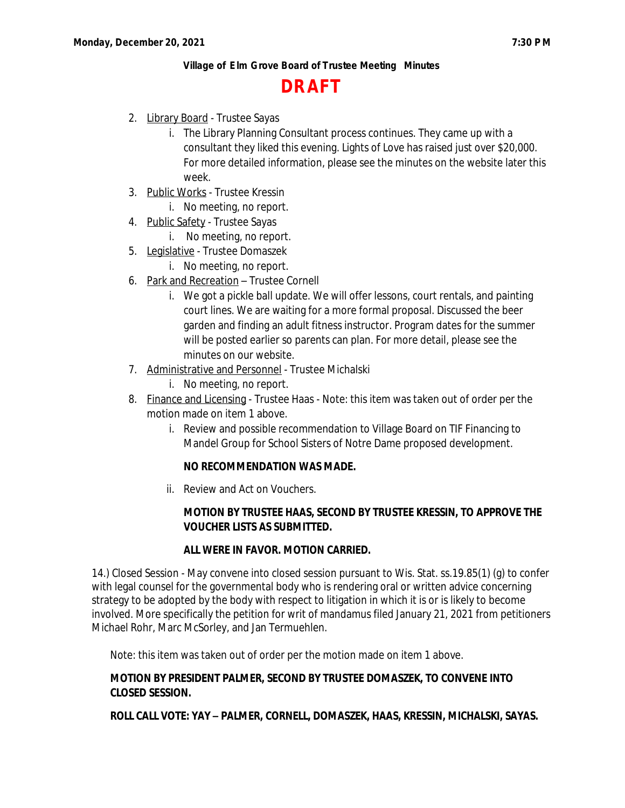# **DRAFT**

- 2. Library Board Trustee Sayas
	- i. The Library Planning Consultant process continues. They came up with a consultant they liked this evening. Lights of Love has raised just over \$20,000. For more detailed information, please see the minutes on the website later this week.
- 3. Public Works Trustee Kressin
	- i. No meeting, no report.
- 4. Public Safety Trustee Sayas
	- i. No meeting, no report.
- 5. Legislative Trustee Domaszek
	- i. No meeting, no report.
- 6. Park and Recreation Trustee Cornell
	- i. We got a pickle ball update. We will offer lessons, court rentals, and painting court lines. We are waiting for a more formal proposal. Discussed the beer garden and finding an adult fitness instructor. Program dates for the summer will be posted earlier so parents can plan. For more detail, please see the minutes on our website.
- 7. Administrative and Personnel Trustee Michalski
	- i. No meeting, no report.
- 8. Finance and Licensing Trustee Haas Note: this item was taken out of order per the motion made on item 1 above.
	- i. Review and possible recommendation to Village Board on TIF Financing to Mandel Group for School Sisters of Notre Dame proposed development.

### **NO RECOMMENDATION WAS MADE.**

ii. Review and Act on Vouchers.

# **MOTION BY TRUSTEE HAAS, SECOND BY TRUSTEE KRESSIN, TO APPROVE THE VOUCHER LISTS AS SUBMITTED.**

### **ALL WERE IN FAVOR. MOTION CARRIED.**

14.) Closed Session - May convene into closed session pursuant to Wis. Stat. ss.19.85(1) (g) to confer with legal counsel for the governmental body who is rendering oral or written advice concerning strategy to be adopted by the body with respect to litigation in which it is or is likely to become involved. More specifically the petition for writ of mandamus filed January 21, 2021 from petitioners Michael Rohr, Marc McSorley, and Jan Termuehlen.

Note: this item was taken out of order per the motion made on item 1 above.

### **MOTION BY PRESIDENT PALMER, SECOND BY TRUSTEE DOMASZEK, TO CONVENE INTO CLOSED SESSION.**

**ROLL CALL VOTE: YAY – PALMER, CORNELL, DOMASZEK, HAAS, KRESSIN, MICHALSKI, SAYAS.**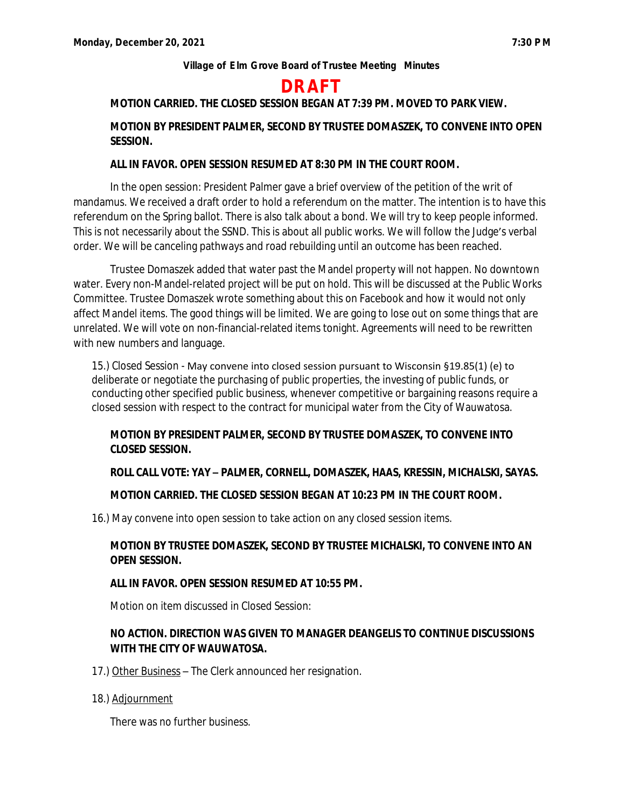# **DRAFT**

# **MOTION CARRIED. THE CLOSED SESSION BEGAN AT 7:39 PM. MOVED TO PARK VIEW.**

# **MOTION BY PRESIDENT PALMER, SECOND BY TRUSTEE DOMASZEK, TO CONVENE INTO OPEN SESSION.**

### **ALL IN FAVOR. OPEN SESSION RESUMED AT 8:30 PM IN THE COURT ROOM.**

In the open session: President Palmer gave a brief overview of the petition of the writ of mandamus. We received a draft order to hold a referendum on the matter. The intention is to have this referendum on the Spring ballot. There is also talk about a bond. We will try to keep people informed. This is not necessarily about the SSND. This is about all public works. We will follow the Judge's verbal order. We will be canceling pathways and road rebuilding until an outcome has been reached.

Trustee Domaszek added that water past the Mandel property will not happen. No downtown water. Every non-Mandel-related project will be put on hold. This will be discussed at the Public Works Committee. Trustee Domaszek wrote something about this on Facebook and how it would not only affect Mandel items. The good things will be limited. We are going to lose out on some things that are unrelated. We will vote on non-financial-related items tonight. Agreements will need to be rewritten with new numbers and language.

15.) Closed Session - May convene into closed session pursuant to Wisconsin §19.85(1) (e) to deliberate or negotiate the purchasing of public properties, the investing of public funds, or conducting other specified public business, whenever competitive or bargaining reasons require a closed session with respect to the contract for municipal water from the City of Wauwatosa.

### **MOTION BY PRESIDENT PALMER, SECOND BY TRUSTEE DOMASZEK, TO CONVENE INTO CLOSED SESSION.**

### **ROLL CALL VOTE: YAY – PALMER, CORNELL, DOMASZEK, HAAS, KRESSIN, MICHALSKI, SAYAS.**

### **MOTION CARRIED. THE CLOSED SESSION BEGAN AT 10:23 PM IN THE COURT ROOM.**

16.) May convene into open session to take action on any closed session items.

# **MOTION BY TRUSTEE DOMASZEK, SECOND BY TRUSTEE MICHALSKI, TO CONVENE INTO AN OPEN SESSION.**

### **ALL IN FAVOR. OPEN SESSION RESUMED AT 10:55 PM.**

Motion on item discussed in Closed Session:

# **NO ACTION. DIRECTION WAS GIVEN TO MANAGER DEANGELIS TO CONTINUE DISCUSSIONS WITH THE CITY OF WAUWATOSA.**

- 17.) Other Business The Clerk announced her resignation.
- 18.) Adjournment

There was no further business.